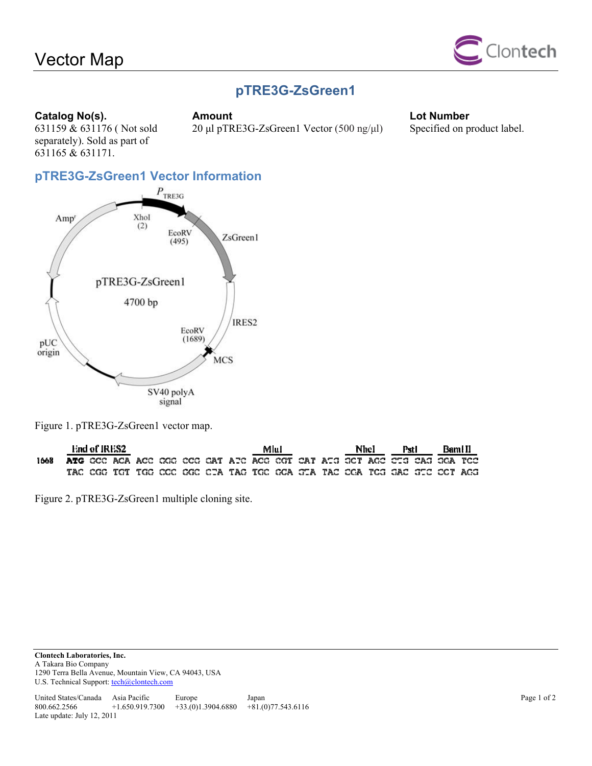# Vector Map



## **pTRE3G-ZsGreen1**

#### **Catalog No(s).** Amount **Catalog No(s).** Amount **Lot Number**

631165 & 631171.

631159 & 631176 ( Not sold separately). Sold as part of

20 μl pTRE3G-ZsGreen1 Vector (500 ng/μl) Specified on product label.

## **pTRE3G-ZsGreen1 Vector Information**



Figure 1. pTRE3G-ZsGreen1 vector map.

|      | End of IRES2 |  |  |  |  |  |  | Mlul |  | Nhel |  | Pstl |  | Bami II                                                                        |  |
|------|--------------|--|--|--|--|--|--|------|--|------|--|------|--|--------------------------------------------------------------------------------|--|
| 1668 |              |  |  |  |  |  |  |      |  |      |  |      |  | <b>ATG</b> CCC ACA ACC CGC CCC CAT ATC ACC CGT CAT ATG GCT ACC CTG CAG GCA TCC |  |
|      |              |  |  |  |  |  |  |      |  |      |  |      |  | TAC CGG TGT TGG CCC CGC CTA TAC TGC CCA GTA TAC CCA TCG GAC GTC CCT AGG        |  |

Figure 2. pTRE3G-ZsGreen1 multiple cloning site.